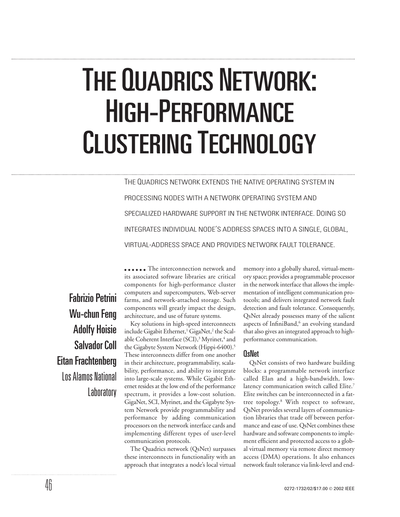# THE QUADRICS NETWORK: HIGH-PERFORMANCE CLUSTERING TECHNOLOGY

THE QUADRICS NETWORK EXTENDS THE NATIVE OPERATING SYSTEM IN PROCESSING NODES WITH A NETWORK OPERATING SYSTEM AND SPECIALIZED HARDWARE SUPPORT IN THE NETWORK INTERFACE. DOING SO INTEGRATES INDIVIDUAL NODE'S ADDRESS SPACES INTO A SINGLE, GLOBAL, VIRTUAL-ADDRESS SPACE AND PROVIDES NETWORK FAULT TOLERANCE.

Fabrizio Petrini Wu-chun Feng Adolfy Hoisie Salvador Coll Eitan Frachtenberg Los Alamos National Laboratory **\*\*\*\*\*\*** The interconnection network and its associated software libraries are critical components for high-performance cluster computers and supercomputers, Web-server farms, and network-attached storage. Such components will greatly impact the design, architecture, and use of future systems.

Key solutions in high-speed interconnects include Gigabit Ethernet,<sup>1</sup> GigaNet,<sup>2</sup> the Scalable Coherent Interface (SCI),<sup>3</sup> Myrinet,<sup>4</sup> and the Gigabyte System Network (Hippi-6400).<sup>5</sup> These interconnects differ from one another in their architecture, programmability, scalability, performance, and ability to integrate into large-scale systems. While Gigabit Ethernet resides at the low end of the performance spectrum, it provides a low-cost solution. GigaNet, SCI, Myrinet, and the Gigabyte System Network provide programmability and performance by adding communication processors on the network interface cards and implementing different types of user-level communication protocols.

The Quadrics network (QsNet) surpasses these interconnects in functionality with an approach that integrates a node's local virtual

memory into a globally shared, virtual-memory space; provides a programmable processor in the network interface that allows the implementation of intelligent communication protocols; and delivers integrated network fault detection and fault tolerance. Consequently, QsNet already possesses many of the salient aspects of InfiniBand,<sup>6</sup> an evolving standard that also gives an integrated approach to highperformance communication.

## QsNet

QsNet consists of two hardware building blocks: a programmable network interface called Elan and a high-bandwidth, lowlatency communication switch called Elite.<sup>7</sup> Elite switches can be interconnected in a fattree topology.<sup>8</sup> With respect to software, QsNet provides several layers of communication libraries that trade off between performance and ease of use. QsNet combines these hardware and software components to implement efficient and protected access to a global virtual memory via remote direct memory access (DMA) operations. It also enhances network fault tolerance via link-level and end-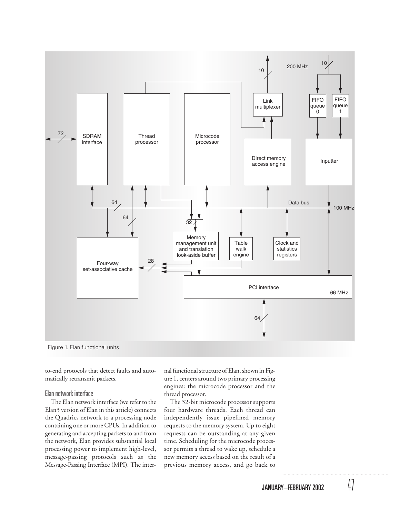

to-end protocols that detect faults and automatically retransmit packets.

### Elan network interface

The Elan network interface (we refer to the Elan3 version of Elan in this article) connects the Quadrics network to a processing node containing one or more CPUs. In addition to generating and accepting packets to and from the network, Elan provides substantial local processing power to implement high-level, message-passing protocols such as the Message-Passing Interface (MPI). The internal functional structure of Elan, shown in Figure 1, centers around two primary processing engines: the microcode processor and the thread processor.

The 32-bit microcode processor supports four hardware threads. Each thread can independently issue pipelined memory requests to the memory system. Up to eight requests can be outstanding at any given time. Scheduling for the microcode processor permits a thread to wake up, schedule a new memory access based on the result of a previous memory access, and go back to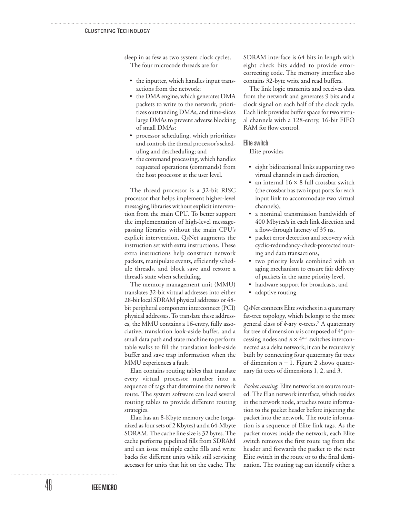#### CLUSTERING TECHNOLOGY

sleep in as few as two system clock cycles. The four microcode threads are for

- the inputter, which handles input transactions from the network;
- the DMA engine, which generates DMA packets to write to the network, prioritizes outstanding DMAs, and time-slices large DMAs to prevent adverse blocking of small DMAs;
- processor scheduling, which prioritizes and controls the thread processor's scheduling and descheduling; and
- the command processing, which handles requested operations (commands) from the host processor at the user level.

The thread processor is a 32-bit RISC processor that helps implement higher-level messaging libraries without explicit intervention from the main CPU. To better support the implementation of high-level messagepassing libraries without the main CPU's explicit intervention, QsNet augments the instruction set with extra instructions. These extra instructions help construct network packets, manipulate events, efficiently schedule threads, and block save and restore a thread's state when scheduling.

The memory management unit (MMU) translates 32-bit virtual addresses into either 28-bit local SDRAM physical addresses or 48 bit peripheral component interconnect (PCI) physical addresses. To translate these addresses, the MMU contains a 16-entry, fully associative, translation look-aside buffer, and a small data path and state machine to perform table walks to fill the translation look-aside buffer and save trap information when the MMU experiences a fault.

Elan contains routing tables that translate every virtual processor number into a sequence of tags that determine the network route. The system software can load several routing tables to provide different routing strategies.

Elan has an 8-Kbyte memory cache (organized as four sets of 2 Kbytes) and a 64-Mbyte SDRAM. The cache line size is 32 bytes. The cache performs pipelined fills from SDRAM and can issue multiple cache fills and write backs for different units while still servicing accesses for units that hit on the cache. The

SDRAM interface is 64 bits in length with eight check bits added to provide errorcorrecting code. The memory interface also contains 32-byte write and read buffers.

The link logic transmits and receives data from the network and generates 9 bits and a clock signal on each half of the clock cycle. Each link provides buffer space for two virtual channels with a 128-entry, 16-bit FIFO RAM for flow control.

#### Elite switch

Elite provides

- eight bidirectional links supporting two virtual channels in each direction,
- an internal  $16 \times 8$  full crossbar switch (the crossbar has two input ports for each input link to accommodate two virtual channels),
- a nominal transmission bandwidth of 400 Mbytes/s in each link direction and a flow-through latency of 35 ns,
- packet error detection and recovery with cyclic-redundancy-check-protected routing and data transactions,
- two priority levels combined with an aging mechanism to ensure fair delivery of packets in the same priority level,
- hardware support for broadcasts, and
- adaptive routing.

QsNet connects Elite switches in a quaternary fat-tree topology, which belongs to the more general class of *k-*ary *n*-trees.9 A quaternary fat tree of dimension *n* is composed of 4*<sup>n</sup>* processing nodes and *n* × 4*<sup>n</sup>*−<sup>1</sup> switches interconnected as a delta network; it can be recursively built by connecting four quaternary fat trees of dimension *n* − 1. Figure 2 shows quaternary fat trees of dimensions 1, 2, and 3.

*Packet routing.* Elite networks are source routed. The Elan network interface, which resides in the network node, attaches route information to the packet header before injecting the packet into the network. The route information is a sequence of Elite link tags. As the packet moves inside the network, each Elite switch removes the first route tag from the header and forwards the packet to the next Elite switch in the route or to the final destination. The routing tag can identify either a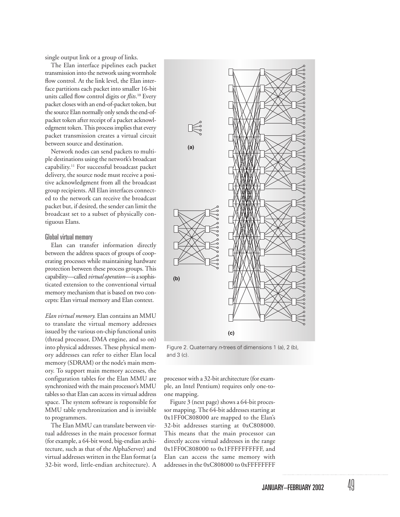single output link or a group of links.

The Elan interface pipelines each packet transmission into the network using wormhole flow control. At the link level, the Elan interface partitions each packet into smaller 16-bit units called flow control digits or *flits*. <sup>10</sup> Every packet closes with an end-of-packet token, but the source Elan normally only sends the end-ofpacket token after receipt of a packet acknowledgment token. This process implies that every packet transmission creates a virtual circuit between source and destination.

Network nodes can send packets to multiple destinations using the network's broadcast capability.11 For successful broadcast packet delivery, the source node must receive a positive acknowledgment from all the broadcast group recipients. All Elan interfaces connected to the network can receive the broadcast packet but, if desired, the sender can limit the broadcast set to a subset of physically contiguous Elans.

## Global virtual memory

Elan can transfer information directly between the address spaces of groups of cooperating processes while maintaining hardware protection between these process groups. This capability—called *virtual operation*—is a sophisticated extension to the conventional virtual memory mechanism that is based on two concepts: Elan virtual memory and Elan context.

*Elan virtual memory.* Elan contains an MMU to translate the virtual memory addresses issued by the various on-chip functional units (thread processor, DMA engine, and so on) into physical addresses. These physical memory addresses can refer to either Elan local memory (SDRAM) or the node's main memory. To support main memory accesses, the configuration tables for the Elan MMU are synchronized with the main processor's MMU tables so that Elan can access its virtual address space. The system software is responsible for MMU table synchronization and is invisible to programmers.

The Elan MMU can translate between virtual addresses in the main processor format (for example, a 64-bit word, big-endian architecture, such as that of the AlphaServer) and virtual addresses written in the Elan format (a 32-bit word, little-endian architecture). A



Figure 2. Quaternary *n*-trees of dimensions 1 (a), 2 (b), and 3 (c).

processor with a 32-bit architecture (for example, an Intel Pentium) requires only one-toone mapping.

Figure 3 (next page) shows a 64-bit processor mapping. The 64-bit addresses starting at 0x1FF0C808000 are mapped to the Elan's 32-bit addresses starting at 0xC808000. This means that the main processor can directly access virtual addresses in the range 0x1FF0C808000 to 0x1FFFFFFFFFFF, and Elan can access the same memory with addresses in the 0xC808000 to 0xFFFFFFFF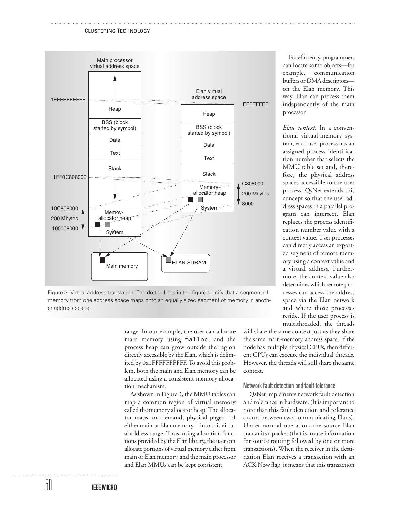#### CLUSTERING TECHNOLOGY





range. In our example, the user can allocate main memory using **malloc**, and the process heap can grow outside the region directly accessible by the Elan, which is delimited by 0x1FFFFFFFFFF. To avoid this problem, both the main and Elan memory can be allocated using a consistent memory allocation mechanism.

As shown in Figure 3, the MMU tables can map a common region of virtual memory called the memory allocator heap. The allocator maps, on demand, physical pages—of either main or Elan memory—into this virtual address range. Thus, using allocation functions provided by the Elan library, the user can allocate portions of virtual memory either from main or Elan memory, and the main processor and Elan MMUs can be kept consistent.

For efficiency, programmers can locate some objects—for example, communication buffers or DMA descriptors on the Elan memory. This way, Elan can process them independently of the main processor.

*Elan context.* In a conventional virtual-memory system, each user process has an assigned process identification number that selects the MMU table set and, therefore, the physical address spaces accessible to the user process. QsNet extends this concept so that the user address spaces in a parallel program can intersect. Elan replaces the process identification number value with a context value. User processes can directly access an exported segment of remote memory using a context value and a virtual address. Furthermore, the context value also determines which remote processes can access the address space via the Elan network and where those processes reside. If the user process is multithreaded, the threads

will share the same context just as they share the same main-memory address space. If the node has multiple physical CPUs, then different CPUs can execute the individual threads. However, the threads will still share the same context.

#### Network fault detection and fault tolerance

QsNet implements network fault detection and tolerance in hardware. (It is important to note that this fault detection and tolerance occurs between two communicating Elans). Under normal operation, the source Elan transmits a packet (that is, route information for source routing followed by one or more transactions). When the receiver in the destination Elan receives a transaction with an ACK Now flag, it means that this transaction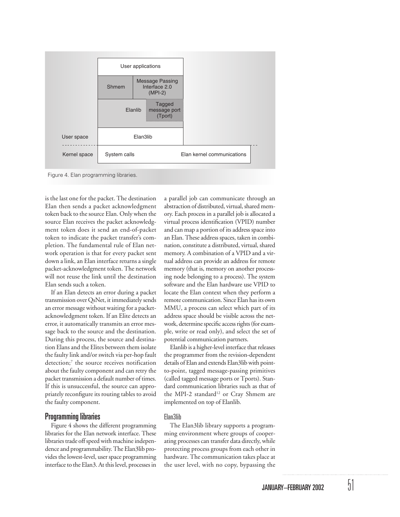

Figure 4. Elan programming libraries.

is the last one for the packet. The destination Elan then sends a packet acknowledgment token back to the source Elan. Only when the source Elan receives the packet acknowledgment token does it send an end-of-packet token to indicate the packet transfer's completion. The fundamental rule of Elan network operation is that for every packet sent down a link, an Elan interface returns a single packet-acknowledgment token. The network will not reuse the link until the destination Elan sends such a token.

If an Elan detects an error during a packet transmission over QsNet, it immediately sends an error message without waiting for a packetacknowledgment token. If an Elite detects an error, it automatically transmits an error message back to the source and the destination. During this process, the source and destination Elans and the Elites between them isolate the faulty link and/or switch via per-hop fault detection;<sup>7</sup> the source receives notification about the faulty component and can retry the packet transmission a default number of times. If this is unsuccessful, the source can appropriately reconfigure its routing tables to avoid the faulty component.

## Programming libraries

Figure 4 shows the different programming libraries for the Elan network interface. These libraries trade off speed with machine independence and programmability. The Elan3lib provides the lowest-level, user space programming interface to the Elan3. At this level, processes in

a parallel job can communicate through an abstraction of distributed, virtual, shared memory. Each process in a parallel job is allocated a virtual process identification (VPID) number and can map a portion of its address space into an Elan. These address spaces, taken in combination, constitute a distributed, virtual, shared memory. A combination of a VPID and a virtual address can provide an address for remote memory (that is, memory on another processing node belonging to a process). The system software and the Elan hardware use VPID to locate the Elan context when they perform a remote communication. Since Elan has its own MMU, a process can select which part of its address space should be visible across the network, determine specific access rights (for example, write or read only), and select the set of potential communication partners.

Elanlib is a higher-level interface that releases the programmer from the revision-dependent details of Elan and extends Elan3lib with pointto-point, tagged message-passing primitives (called tagged message ports or Tports). Standard communication libraries such as that of the MPI-2 standard<sup>12</sup> or Cray Shmem are implemented on top of Elanlib.

## Elan3lib

The Elan3lib library supports a programming environment where groups of cooperating processes can transfer data directly, while protecting process groups from each other in hardware. The communication takes place at the user level, with no copy, bypassing the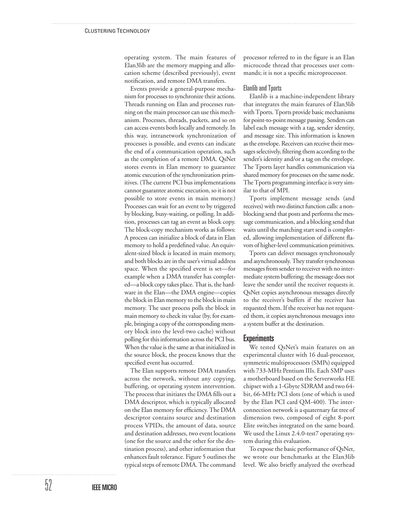operating system. The main features of Elan3lib are the memory mapping and allocation scheme (described previously), event notification, and remote DMA transfers.

Events provide a general-purpose mechanism for processes to synchronize their actions. Threads running on Elan and processes running on the main processor can use this mechanism. Processes, threads, packets, and so on can access events both locally and remotely. In this way, intranetwork synchronization of processes is possible, and events can indicate the end of a communication operation, such as the completion of a remote DMA. QsNet stores events in Elan memory to guarantee atomic execution of the synchronization primitives. (The current PCI bus implementations cannot guarantee atomic execution, so it is not possible to store events in main memory.) Processes can wait for an event to by triggered by blocking, busy-waiting, or polling. In addition, processes can tag an event as block copy. The block-copy mechanism works as follows: A process can initialize a block of data in Elan memory to hold a predefined value. An equivalent-sized block is located in main memory, and both blocks are in the user's virtual address space. When the specified event is set—for example when a DMA transfer has completed—a block copy takes place. That is, the hardware in the Elan—the DMA engine—copies the block in Elan memory to the block in main memory. The user process polls the block in main memory to check its value (by, for example, bringing a copy of the corresponding memory block into the level-two cache) without polling for this information across the PCI bus. When the value is the same as that initialized in the source block, the process knows that the specified event has occurred.

The Elan supports remote DMA transfers across the network, without any copying, buffering, or operating system intervention. The process that initiates the DMA fills out a DMA descriptor, which is typically allocated on the Elan memory for efficiency. The DMA descriptor contains source and destination process VPIDs, the amount of data, source and destination addresses, two event locations (one for the source and the other for the destination process), and other information that enhances fault tolerance. Figure 5 outlines the typical steps of remote DMA. The command

processor referred to in the figure is an Elan microcode thread that processes user commands; it is not a specific microprocessor.

#### Elanlib and Tports

Elanlib is a machine-independent library that integrates the main features of Elan3lib with Tports. Tports provide basic mechanisms for point-to-point message passing. Senders can label each message with a tag, sender identity, and message size. This information is known as the envelope. Receivers can receive their messages selectively, filtering them according to the sender's identity and/or a tag on the envelope. The Tports layer handles communication via shared memory for processes on the same node. The Tports programming interface is very similar to that of MPI.

Tports implement message sends (and receives) with two distinct function calls: a nonblocking send that posts and performs the message communication, and a blocking send that waits until the matching start send is completed, allowing implementation of different flavors of higher-level communication primitives.

Tports can deliver messages synchronously and asynchronously. They transfer synchronous messages from sender to receiver with no intermediate system buffering; the message does not leave the sender until the receiver requests it. QsNet copies asynchronous messages directly to the receiver's buffers if the receiver has requested them. If the receiver has not requested them, it copies asynchronous messages into a system buffer at the destination.

## **Experiments**

We tested QsNet's main features on an experimental cluster with 16 dual-processor, symmetric multiprocessors (SMPs) equipped with 733-MHz Pentium IIIs. Each SMP uses a motherboard based on the Serverworks HE chipset with a 1-Gbyte SDRAM and two 64 bit, 66-MHz PCI slots (one of which is used by the Elan PCI card QM-400). The interconnection network is a quaternary fat tree of dimension two, composed of eight 8-port Elite switches integrated on the same board. We used the Linux 2.4.0-test7 operating system during this evaluation.

To expose the basic performance of QsNet, we wrote our benchmarks at the Elan3lib level. We also briefly analyzed the overhead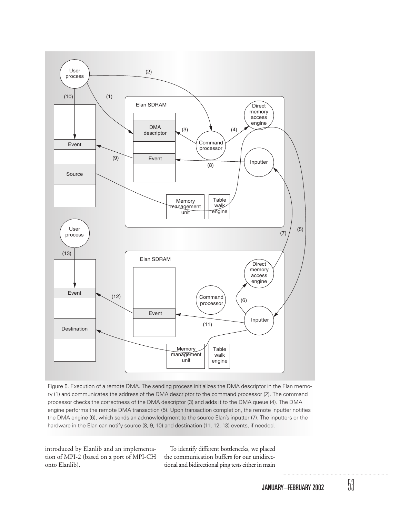

Figure 5. Execution of a remote DMA. The sending process initializes the DMA descriptor in the Elan memory (1) and communicates the address of the DMA descriptor to the command processor (2). The command processor checks the correctness of the DMA descriptor (3) and adds it to the DMA queue (4). The DMA engine performs the remote DMA transaction (5). Upon transaction completion, the remote inputter notifies the DMA engine (6), which sends an acknowledgment to the source Elan's inputter (7). The inputters or the hardware in the Elan can notify source (8, 9, 10) and destination (11, 12, 13) events, if needed.

introduced by Elanlib and an implementation of MPI-2 (based on a port of MPI-CH onto Elanlib).

To identify different bottlenecks, we placed the communication buffers for our unidirectional and bidirectional ping tests either in main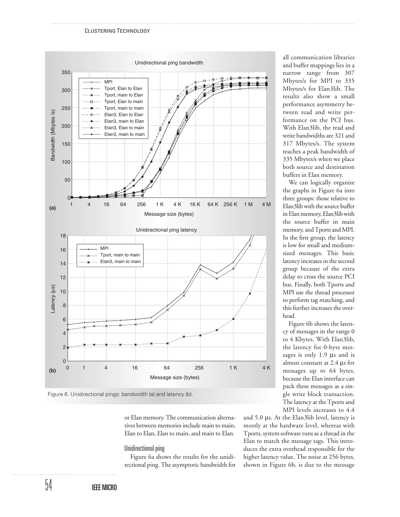#### CLUSTERING TECHNOLOGY



Figure 6. Unidirectional pings: bandwidth (a) and latency (b).

or Elan memory. The communication alternatives between memories include main to main, Elan to Elan, Elan to main, and main to Elan.

## Unidirectional ping

Figure 6a shows the results for the unidirectional ping. The asymptotic bandwidth for all communication libraries and buffer mappings lies in a narrow range from 307 Mbytes/s for MPI to 335 Mbytes/s for Elan3lib. The results also show a small performance asymmetry between read and write performance on the PCI bus. With Elan3lib, the read and write bandwidths are 321 and 317 Mbytes/s. The system reaches a peak bandwidth of 335 Mbytes/s when we place both source and destination buffers in Elan memory.

We can logically organize the graphs in Figure 6a into three groups: those relative to Elan3lib with the source buffer in Elan memory, Elan3lib with the source buffer in main memory, and Tports and MPI. In the first group, the latency is low for small and mediumsized messages. This basic latency increases in the second group because of the extra delay to cross the source PCI bus. Finally, both Tports and MPI use the thread processor to perform tag matching, and this further increases the overhead.

Figure 6b shows the latency of messages in the range 0 to 4 Kbytes. With Elan3lib, the latency for 0-byte messages is only 1.9 µs and is almost constant at 2.4 µs for messages up to 64 bytes, because the Elan interface can pack these messages as a single write block transaction. The latency at the Tports and MPI levels increases to 4.4

and 5.0 µs. At the Elan3lib level, latency is mostly at the hardware level, whereas with Tports, system software runs as a thread in the Elan to match the message tags. This introduces the extra overhead responsible for the higher latency value. The noise at 256 bytes, shown in Figure 6b, is due to the message

54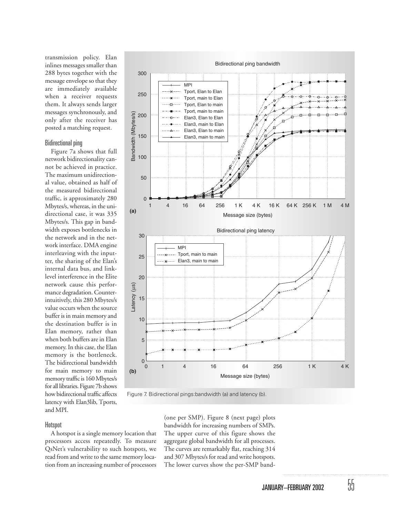transmission policy. Elan inlines messages smaller than 288 bytes together with the message envelope so that they are immediately available when a receiver requests them. It always sends larger messages synchronously, and only after the receiver has posted a matching request.

### Bidirectional ping

Figure 7a shows that full network bidirectionality cannot be achieved in practice. The maximum unidirectional value, obtained as half of the measured bidirectional traffic, is approximately 280 Mbytes/s, whereas, in the unidirectional case, it was 335 Mbytes/s. This gap in bandwidth exposes bottlenecks in the network and in the network interface. DMA engine interleaving with the inputter, the sharing of the Elan's internal data bus, and linklevel interference in the Elite network cause this performance degradation. Counterintuitively, this 280 Mbytes/s value occurs when the source buffer is in main memory and the destination buffer is in Elan memory, rather than when both buffers are in Elan memory. In this case, the Elan memory is the bottleneck. The bidirectional bandwidth for main memory to main memory traffic is 160 Mbytes/s for all libraries. Figure 7b shows how bidirectional traffic affects latency with Elan3lib, Tports, and MPI.

## Bidirectional ping bandwidth 300 MPI Tport, Elan to Elan 250 Tport, main to Elan Tport, Elan to main Tport, main to main Bandwidth (Mbytes/s) 200 Bandwidth (Mbytes/s) Elan3, Elan to Elan Elan3, main to Elan Elan3, Elan to main 150 Elan3, main to main 100 50  $\Omega$ 4 16 64 256 1 K 4 K 16 K 64 K 256 K 1 M 4 M **(a)** Message size (bytes) Bidirectional ping latency 30 MPI Tport, main to main 25 Elan3, main to main 20 Latency (µs) Latency (µs) 15 10 5  $0\frac{L}{2}$ 0 1 4 16 64 256 1 K 4 K **(b)** Message size (bytes)

Figure 7. Bidirectional pings:bandwidth (a) and latency (b).

**Hotspot** 

A hotspot is a single memory location that processors access repeatedly. To measure QsNet's vulnerability to such hotspots, we read from and write to the same memory location from an increasing number of processors (one per SMP). Figure 8 (next page) plots bandwidth for increasing numbers of SMPs. The upper curve of this figure shows the aggregate global bandwidth for all processes. The curves are remarkably flat, reaching 314 and 307 Mbytes/s for read and write hotspots. The lower curves show the per-SMP band-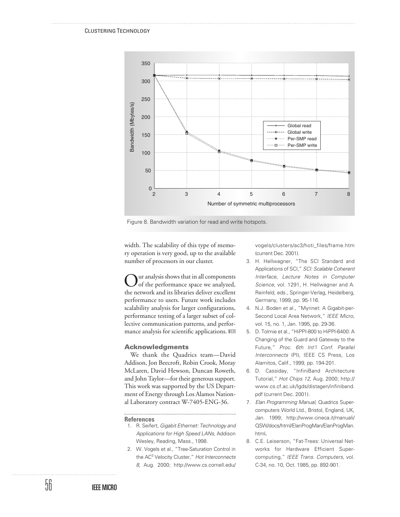

Figure 8. Bandwidth variation for read and write hotspots.

width. The scalability of this type of memory operation is very good, up to the available number of processors in our cluster.

ur analysis shows that in all components of the performance space we analyzed, the network and its libraries deliver excellent performance to users. Future work includes scalability analysis for larger configurations, performance testing of a larger subset of collective communication patterns, and performance analysis for scientific applications. MICRO

#### **Acknowledgments**

We thank the Quadrics team—David Addison, Jon Beecroft, Robin Crook, Moray McLaren, David Hewson, Duncan Roweth, and John Taylor—for their generous support. This work was supported by the US Department of Energy through Los Alamos National Laboratory contract W-7405-ENG-36.

#### **References**

- 1. R. Seifert, *Gigabit Ethernet: Technology and Applications for High Speed LANs*, Addison Wesley, Reading, Mass., 1998.
- 2. W. Vogels et al., "Tree-Saturation Control in the AC3 Velocity Cluster," *Hot Interconnects 8*, Aug. 2000; http://www.cs.cornell.edu/

vogels/clusters/ac3/hoti\_files/frame.htm (current Dec. 2001).

- 3. H. Hellwagner, "The SCI Standard and Applications of SCI," *SCI: Scalable Coherent Interface*, *Lecture Notes in Computer Science*, vol. 1291, H. Hellwagner and A. Reinfeld, eds., Springer-Verlag, Heidelberg, Germany, 1999, pp. 95-116.
- 4. N.J. Boden et al., "Myrinet: A Gigabit-per-Second Local Area Network," *IEEE Micro*, vol. 15, no. 1, Jan. 1995, pp. 29-36.
- 5. D. Tolmie et al., "HiPPI-800 to HiPPI-6400: A Changing of the Guard and Gateway to the Future," *Proc. 6th Int'l Conf. Parallel Interconnects* (PI), IEEE CS Press, Los Alamitos, Calif., 1999, pp. 194-201.
- 6. D. Cassiday, "InfiniBand Architecture Tutorial," *Hot Chips 12*, Aug. 2000; http:// www.cs.cf.ac.uk/Igds/distagen/infiniband. pdf (current Dec. 2001).
- 7. *Elan Programming Manual*, Quadrics Supercomputers World Ltd., Bristol, England, UK, Jan. 1999; http://www.cineca.it/manuali/ QSW/docs/html/ElanProgMan/ElanProgMan. html**.**
- 8. C.E. Leiserson, "Fat-Trees: Universal Networks for Hardware Efficient Supercomputing," *IEEE Trans. Computers*, vol. C-34, no. 10, Oct. 1985, pp. 892-901.